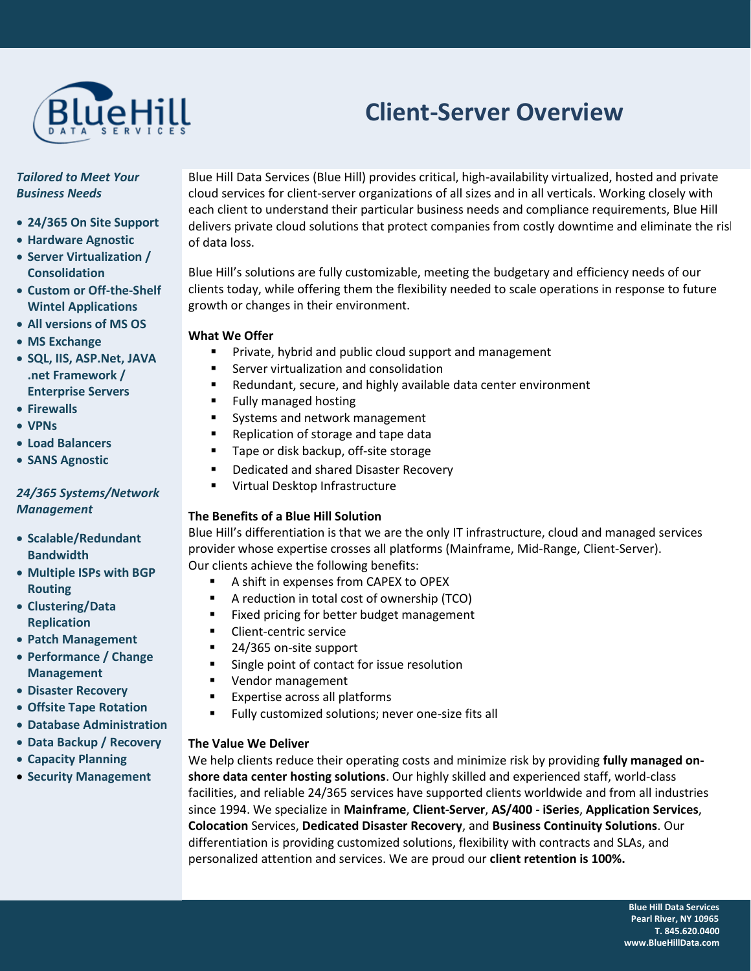

# **Client-Server Overview**

### *Tailored to Meet Your Business Needs*

- **24/365 On Site Support**
- **Hardware Agnostic**
- **Server Virtualization / Consolidation**
- **Custom or Off-the-Shelf Wintel Applications**
- **All versions of MS OS**
- **MS Exchange**
- **SQL, IIS, ASP.Net, JAVA .net Framework / Enterprise Servers**
- **Firewalls**
- **VPNs**
- **Load Balancers**
- **SANS Agnostic**

## *24/365 Systems/Network Management*

- **Scalable/Redundant Bandwidth**
- **Multiple ISPs with BGP Routing**
- **Clustering/Data Replication**
- **Patch Management**
- **Performance / Change Management**
- **Disaster Recovery**
- **Offsite Tape Rotation**
- **Database Administration**
- **Data Backup / Recovery**
- **Capacity Planning**
- **Security Management**

Blue Hill Data Services (Blue Hill) provides critical, high-availability virtualized, hosted and private cloud services for client-server organizations of all sizes and in all verticals. Working closely with each client to understand their particular business needs and compliance requirements, Blue Hill delivers private cloud solutions that protect companies from costly downtime and eliminate the risk of data loss.

Blue Hill's solutions are fully customizable, meeting the budgetary and efficiency needs of our clients today, while offering them the flexibility needed to scale operations in response to future growth or changes in their environment.

### **What We Offer**

- Private, hybrid and public cloud support and management
- Server virtualization and consolidation
- Redundant, secure, and highly available data center environment
- Fully managed hosting
- Systems and network management
- Replication of storage and tape data
- Tape or disk backup, off-site storage
- Dedicated and shared Disaster Recovery
- Virtual Desktop Infrastructure

## **The Benefits of a Blue Hill Solution**

Blue Hill's differentiation is that we are the only IT infrastructure, cloud and managed services provider whose expertise crosses all platforms (Mainframe, Mid-Range, Client-Server). Our clients achieve the following benefits:

- A shift in expenses from CAPEX to OPEX
- A reduction in total cost of ownership (TCO)
- Fixed pricing for better budget management
- Client-centric service
- 24/365 on-site support
- Single point of contact for issue resolution
- Vendor management
- Expertise across all platforms
- Fully customized solutions; never one-size fits all

#### **The Value We Deliver**

We help clients reduce their operating costs and minimize risk by providing **fully managed onshore data center hosting solutions**. Our highly skilled and experienced staff, world-class facilities, and reliable 24/365 services have supported clients worldwide and from all industries since 1994. We specialize in **Mainframe**, **Client-Server**, **AS/400 - iSeries**, **Application Services**, **Colocation** Services, **Dedicated Disaster Recovery**, and **Business Continuity Solutions**. Our differentiation is providing customized solutions, flexibility with contracts and SLAs, and personalized attention and services. We are proud our **client retention is 100%.**